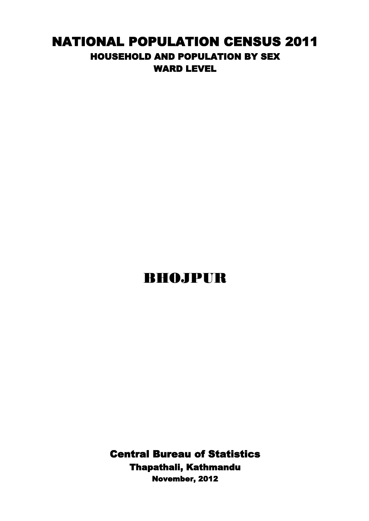## NATIONAL POPULATION CENSUS 2011 HOUSEHOLD AND POPULATION BY SEX WARD LEVEL

## BHOJPUR

Central Bureau of Statistics Thapathali, Kathmandu November, 2012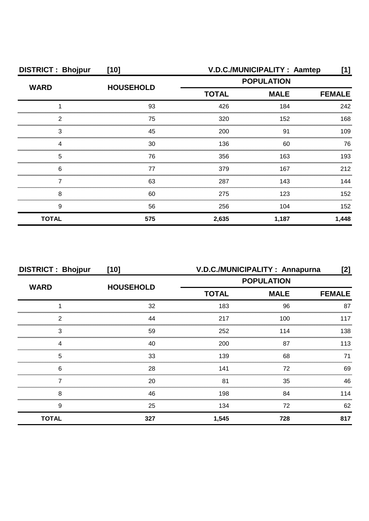| <b>DISTRICT: Bhojpur</b> | $[10]$           | V.D.C./MUNICIPALITY: Aamtep | $[1]$       |               |
|--------------------------|------------------|-----------------------------|-------------|---------------|
| <b>WARD</b>              | <b>HOUSEHOLD</b> | <b>POPULATION</b>           |             |               |
|                          |                  | <b>TOTAL</b>                | <b>MALE</b> | <b>FEMALE</b> |
|                          | 93               | 426                         | 184         | 242           |
| 2                        | 75               | 320                         | 152         | 168           |
| З                        | 45               | 200                         | 91          | 109           |
|                          | 30               | 136                         | 60          | 76            |
| 5                        | 76               | 356                         | 163         | 193           |
| 6                        | 77               | 379                         | 167         | 212           |
|                          | 63               | 287                         | 143         | 144           |
| 8                        | 60               | 275                         | 123         | 152           |
| 9                        | 56               | 256                         | 104         | 152           |
| <b>TOTAL</b>             | 575              | 2,635                       | 1,187       | 1,448         |

| <b>DISTRICT: Bhojpur</b> | $[10]$           | V.D.C./MUNICIPALITY: Annapurna |             |               |
|--------------------------|------------------|--------------------------------|-------------|---------------|
|                          |                  | <b>POPULATION</b>              |             |               |
| <b>WARD</b>              | <b>HOUSEHOLD</b> | <b>TOTAL</b>                   | <b>MALE</b> | <b>FEMALE</b> |
|                          | 32               | 183                            | 96          | 87            |
| 2                        | 44               | 217                            | 100         | 117           |
| 3                        | 59               | 252                            | 114         | 138           |
| Δ                        | 40               | 200                            | 87          | 113           |
| 5                        | 33               | 139                            | 68          | 71            |
| 6                        | 28               | 141                            | 72          | 69            |
|                          | 20               | 81                             | 35          | 46            |
| 8                        | 46               | 198                            | 84          | 114           |
| 9                        | 25               | 134                            | 72          | 62            |
| <b>TOTAL</b>             | 327              | 1,545                          | 728         | 817           |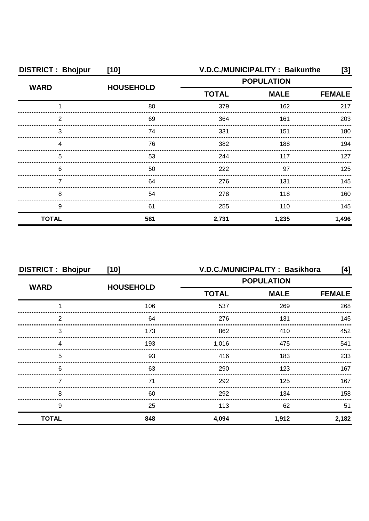| <b>DISTRICT: Bhojpur</b> | $[10]$           |                             | V.D.C./MUNICIPALITY: Baikunthe | [3]           |
|--------------------------|------------------|-----------------------------|--------------------------------|---------------|
| <b>WARD</b>              | <b>HOUSEHOLD</b> | <b>POPULATION</b>           |                                |               |
|                          |                  | <b>TOTAL</b><br><b>MALE</b> |                                | <b>FEMALE</b> |
|                          | 80               | 379                         | 162                            | 217           |
| 2                        | 69               | 364                         | 161                            | 203           |
| З                        | 74               | 331                         | 151                            | 180           |
|                          | 76               | 382                         | 188                            | 194           |
| 5                        | 53               | 244                         | 117                            | 127           |
| 6                        | 50               | 222                         | 97                             | 125           |
|                          | 64               | 276                         | 131                            | 145           |
| 8                        | 54               | 278                         | 118                            | 160           |
| 9                        | 61               | 255                         | 110                            | 145           |
| <b>TOTAL</b>             | 581              | 2,731                       | 1,235                          | 1,496         |

| <b>DISTRICT: Bhojpur</b> | $[10]$           | V.D.C./MUNICIPALITY: Basikhora |             |               |  |
|--------------------------|------------------|--------------------------------|-------------|---------------|--|
| <b>WARD</b>              |                  | <b>POPULATION</b>              |             |               |  |
|                          | <b>HOUSEHOLD</b> | <b>TOTAL</b>                   | <b>MALE</b> | <b>FEMALE</b> |  |
|                          | 106              | 537                            | 269         | 268           |  |
| 2                        | 64               | 276                            | 131         | 145           |  |
| 3                        | 173              | 862                            | 410         | 452           |  |
| 4                        | 193              | 1,016                          | 475         | 541           |  |
| 5                        | 93               | 416                            | 183         | 233           |  |
| 6                        | 63               | 290                            | 123         | 167           |  |
|                          | 71               | 292                            | 125         | 167           |  |
| 8                        | 60               | 292                            | 134         | 158           |  |
| 9                        | 25               | 113                            | 62          | 51            |  |
| <b>TOTAL</b>             | 848              | 4,094                          | 1,912       | 2,182         |  |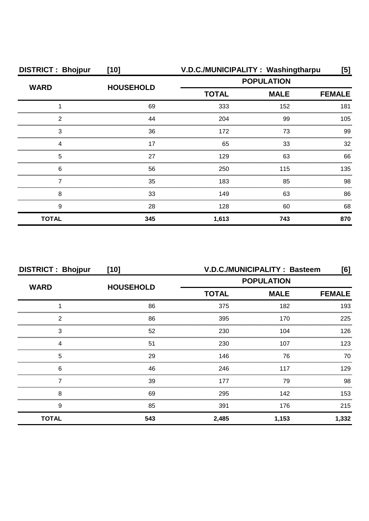| <b>DISTRICT: Bhojpur</b>                   | $[10]$           | V.D.C./MUNICIPALITY: Washingtharpu               |               | [5] |
|--------------------------------------------|------------------|--------------------------------------------------|---------------|-----|
| <b>WARD</b>                                |                  | <b>POPULATION</b><br><b>TOTAL</b><br><b>MALE</b> |               |     |
|                                            | <b>HOUSEHOLD</b> |                                                  | <b>FEMALE</b> |     |
|                                            | 69               | 333                                              | 152           | 181 |
| 2                                          | 44               | 204                                              | 99            | 105 |
| 3                                          | 36               | 172                                              | 73            | 99  |
|                                            | 17               | 65                                               | 33            | 32  |
| 5                                          | 27               | 129                                              | 63            | 66  |
| 6<br>,,,,,,,,,,,,,,,,,,,,,,,,,,,,,,,,,,,,, | 56               | 250                                              | 115           | 135 |
|                                            | 35               | 183                                              | 85            | 98  |
| 8                                          | 33               | 149                                              | 63            | 86  |
| 9                                          | 28               | 128                                              | 60            | 68  |
| <b>TOTAL</b>                               | 345              | 1,613                                            | 743           | 870 |

| <b>DISTRICT: Bhojpur</b> | $[10]$           | V.D.C./MUNICIPALITY: Basteem<br>[6]          |       |       |  |
|--------------------------|------------------|----------------------------------------------|-------|-------|--|
| <b>WARD</b>              | <b>HOUSEHOLD</b> | <b>POPULATION</b>                            |       |       |  |
|                          |                  | <b>MALE</b><br><b>TOTAL</b><br><b>FEMALE</b> |       |       |  |
|                          | 86               | 375                                          | 182   | 193   |  |
| 2                        | 86               | 395                                          | 170   | 225   |  |
| 3                        | 52               | 230                                          | 104   | 126   |  |
|                          | 51               | 230                                          | 107   | 123   |  |
| 5                        | 29               | 146                                          | 76    | 70    |  |
| 6                        | 46               | 246                                          | 117   | 129   |  |
|                          | 39               | 177                                          | 79    | 98    |  |
| 8                        | 69               | 295                                          | 142   | 153   |  |
| 9                        | 85               | 391                                          | 176   | 215   |  |
| <b>TOTAL</b>             | 543              | 2,485                                        | 1,153 | 1,332 |  |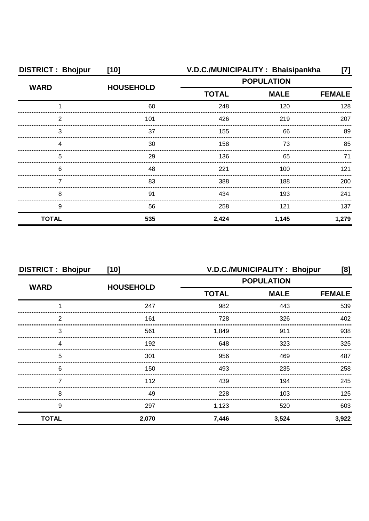| <b>DISTRICT: Bhojpur</b> | $[10]$           | V.D.C./MUNICIPALITY: Bhaisipankha |             |               |  |
|--------------------------|------------------|-----------------------------------|-------------|---------------|--|
| <b>WARD</b>              | <b>HOUSEHOLD</b> | <b>POPULATION</b>                 |             |               |  |
|                          |                  | <b>TOTAL</b>                      | <b>MALE</b> | <b>FEMALE</b> |  |
|                          | 60               | 248                               | 120         | 128           |  |
| 2                        | 101              | 426                               | 219         | 207           |  |
| 3                        | 37               | 155                               | 66          | 89            |  |
|                          | 30               | 158                               | 73          | 85            |  |
| 5                        | 29               | 136                               | 65          | 71            |  |
| 6                        | 48               | 221                               | 100         | 121           |  |
|                          | 83               | 388                               | 188         | 200           |  |
| 8                        | 91               | 434                               | 193         | 241           |  |
| 9                        | 56               | 258                               | 121         | 137           |  |
| <b>TOTAL</b>             | 535              | 2,424                             | 1,145       | 1,279         |  |

| <b>DISTRICT: Bhojpur</b> | $[10]$           | V.D.C./MUNICIPALITY: Bhojpur<br>[8] |                              |       |
|--------------------------|------------------|-------------------------------------|------------------------------|-------|
| <b>WARD</b>              | <b>HOUSEHOLD</b> | <b>POPULATION</b>                   |                              |       |
|                          |                  | <b>TOTAL</b>                        | <b>MALE</b><br><b>FEMALE</b> |       |
|                          | 247              | 982                                 | 443                          | 539   |
| 2                        | 161              | 728                                 | 326                          | 402   |
| 3                        | 561              | 1,849                               | 911                          | 938   |
| Δ                        | 192              | 648                                 | 323                          | 325   |
| 5                        | 301              | 956                                 | 469                          | 487   |
| 6                        | 150              | 493                                 | 235                          | 258   |
|                          | 112              | 439                                 | 194                          | 245   |
| 8                        | 49               | 228                                 | 103                          | 125   |
| 9                        | 297              | 1,123                               | 520                          | 603   |
| <b>TOTAL</b>             | 2,070            | 7,446                               | 3,524                        | 3,922 |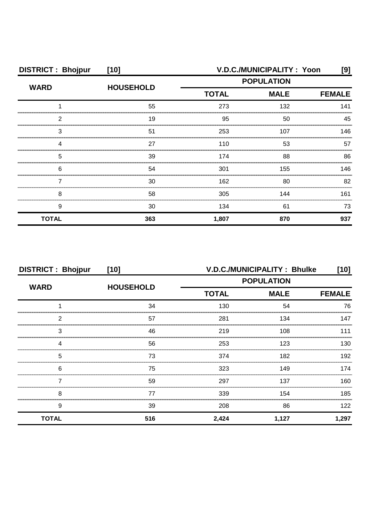| <b>DISTRICT: Bhojpur</b> | $[10]$           | V.D.C./MUNICIPALITY: Yoon<br>[9] |             |               |
|--------------------------|------------------|----------------------------------|-------------|---------------|
| <b>WARD</b>              | <b>HOUSEHOLD</b> | <b>POPULATION</b>                |             |               |
|                          |                  | <b>TOTAL</b>                     | <b>MALE</b> | <b>FEMALE</b> |
|                          | 55               | 273                              | 132         | 141           |
| ◠                        | 19               | 95                               | 50          | 45            |
| З                        | 51               | 253                              | 107         | 146           |
|                          | 27               | 110                              | 53          | 57            |
| 5                        | 39               | 174                              | 88          | 86            |
| 6                        | 54               | 301                              | 155         | 146.          |
|                          | 30               | 162                              | 80          | 82            |
| 8                        | 58               | 305                              | 144         | 161           |
| 9                        | 30               | 134                              | 61          | 73            |
| <b>TOTAL</b>             | 363              | 1,807                            | 870         | 937           |

| <b>DISTRICT: Bhojpur</b> | $[10]$           | V.D.C./MUNICIPALITY: Bhulke<br>[10] |             |               |
|--------------------------|------------------|-------------------------------------|-------------|---------------|
| <b>WARD</b>              |                  | <b>POPULATION</b>                   |             |               |
|                          | <b>HOUSEHOLD</b> | <b>TOTAL</b>                        | <b>MALE</b> | <b>FEMALE</b> |
|                          | 34               | 130                                 | 54          | 76            |
| 2                        | 57               | 281                                 | 134         | 147           |
| 3                        | 46               | 219                                 | 108         | 111           |
| 4                        | 56               | 253                                 | 123         | 130           |
| 5                        | 73               | 374                                 | 182         | 192           |
| 6                        | 75               | 323                                 | 149         | 174           |
|                          | 59               | 297                                 | 137         | 160           |
| 8                        | 77               | 339                                 | 154         | 185           |
| 9                        | 39               | 208                                 | 86          | 122           |
| <b>TOTAL</b>             | 516              | 2,424                               | 1,127       | 1,297         |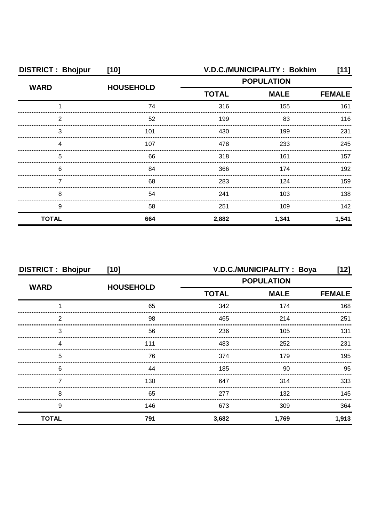| <b>DISTRICT: Bhojpur</b> | $[10]$           |                   | V.D.C./MUNICIPALITY: Bokhim | [11]          |
|--------------------------|------------------|-------------------|-----------------------------|---------------|
| <b>WARD</b>              | <b>HOUSEHOLD</b> | <b>POPULATION</b> |                             |               |
|                          |                  | <b>TOTAL</b>      | <b>MALE</b>                 | <b>FEMALE</b> |
|                          | 74               | 316               | 155                         | 161           |
| 2                        | 52               | 199               | 83                          | 116           |
| З                        | 101              | 430               | 199                         | 231           |
|                          | 107              | 478               | 233                         | 245           |
| 5                        | 66               | 318               | 161                         | 157           |
| 6                        | 84               | 366               | 174                         | 192           |
|                          | 68               | 283               | 124                         | 159           |
| 8                        | 54               | 241               | 103                         | 138           |
| 9                        | 58               | 251               | 109                         | 142           |
| <b>TOTAL</b>             | 664              | 2,882             | 1,341                       | 1,541         |

| <b>DISTRICT: Bhojpur</b> | $[10]$           | V.D.C./MUNICIPALITY: Boya<br>[12] |                   |               |  |
|--------------------------|------------------|-----------------------------------|-------------------|---------------|--|
| <b>WARD</b>              |                  |                                   | <b>POPULATION</b> |               |  |
|                          | <b>HOUSEHOLD</b> | <b>TOTAL</b>                      | <b>MALE</b>       | <b>FEMALE</b> |  |
|                          | 65               | 342                               | 174               | 168           |  |
| 2                        | 98               | 465                               | 214               | 251           |  |
| 3                        | 56               | 236                               | 105               | 131           |  |
| Δ                        | 111              | 483                               | 252               | 231           |  |
| 5                        | 76               | 374                               | 179               | 195           |  |
| 6                        | 44               | 185                               | 90                | 95            |  |
|                          | 130              | 647                               | 314               | 333           |  |
| 8                        | 65               | 277                               | 132               | 145           |  |
| 9                        | 146              | 673                               | 309               | 364           |  |
| <b>TOTAL</b>             | 791              | 3,682                             | 1,769             | 1,913         |  |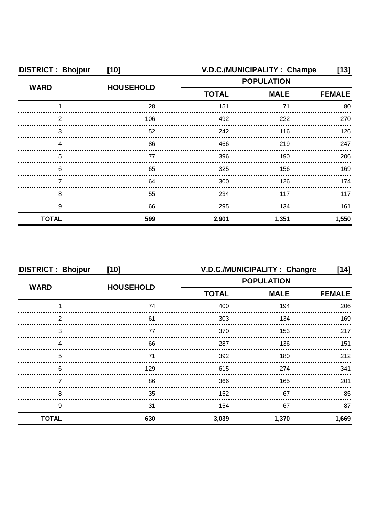| <b>DISTRICT: Bhojpur</b> | $[10]$           |              | V.D.C./MUNICIPALITY: Champe | [13]          |
|--------------------------|------------------|--------------|-----------------------------|---------------|
| <b>WARD</b>              | <b>HOUSEHOLD</b> |              | <b>POPULATION</b>           |               |
|                          |                  | <b>TOTAL</b> | <b>MALE</b>                 | <b>FEMALE</b> |
|                          | 28               | 151          | 71                          | 80            |
| 2                        | 106              | 492          | 222                         | 270           |
| З                        | 52               | 242          | 116                         | 126           |
|                          | 86               | 466          | 219                         | 247           |
| 5                        | 77               | 396          | 190                         | 206           |
| 6                        | 65               | 325          | 156                         | 169           |
|                          | 64               | 300          | 126                         | 174           |
| 8                        | 55               | 234          | 117                         | 117           |
| 9                        | 66               | 295          | 134                         | 161           |
| <b>TOTAL</b>             | 599              | 2,901        | 1,351                       | 1,550         |

| <b>DISTRICT: Bhojpur</b> | $[10]$           |                   | V.D.C./MUNICIPALITY: Changre | [14]          |
|--------------------------|------------------|-------------------|------------------------------|---------------|
| <b>WARD</b>              |                  | <b>POPULATION</b> |                              |               |
|                          | <b>HOUSEHOLD</b> | <b>TOTAL</b>      | <b>MALE</b>                  | <b>FEMALE</b> |
|                          | 74               | 400               | 194                          | 206           |
| 2                        | 61               | 303               | 134                          | 169           |
| 3                        | 77               | 370               | 153                          | 217           |
| Δ                        | 66               | 287               | 136                          | 151           |
| 5                        | 71               | 392               | 180                          | 212           |
| 6                        | 129              | 615               | 274                          | 341           |
|                          | 86               | 366               | 165                          | 201           |
| 8                        | 35               | 152               | 67                           | 85            |
| 9                        | 31               | 154               | 67                           | 87            |
| <b>TOTAL</b>             | 630              | 3,039             | 1,370                        | 1,669         |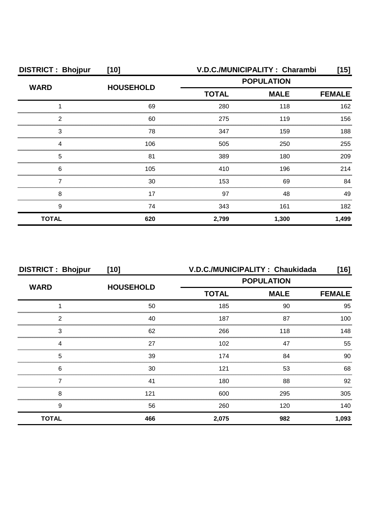| <b>DISTRICT: Bhojpur</b> | $[10]$           |                   | V.D.C./MUNICIPALITY: Charambi | [15]          |
|--------------------------|------------------|-------------------|-------------------------------|---------------|
| <b>WARD</b>              |                  | <b>POPULATION</b> |                               |               |
|                          | <b>HOUSEHOLD</b> | <b>TOTAL</b>      | <b>MALE</b>                   | <b>FEMALE</b> |
|                          | 69               | 280               | 118                           | 162           |
| 2                        | 60               | 275               | 119                           | 156           |
| З                        | 78               | 347               | 159                           | 188           |
|                          | 106              | 505               | 250                           | 255           |
| 5                        | 81               | 389               | 180                           | 209           |
| 6                        | 105              | 410               | 196                           | 214           |
|                          | 30               | 153               | 69                            | 84            |
| 8                        | 17               | 97                | 48                            | 49            |
| 9                        | 74               | 343               | 161                           | 182           |
| <b>TOTAL</b>             | 620              | 2,799             | 1,300                         | 1,499         |

| <b>DISTRICT: Bhojpur</b> | $[10]$           |                   | V.D.C./MUNICIPALITY: Chaukidada | [16]          |
|--------------------------|------------------|-------------------|---------------------------------|---------------|
|                          |                  | <b>POPULATION</b> |                                 |               |
| <b>WARD</b>              | <b>HOUSEHOLD</b> | <b>TOTAL</b>      | <b>MALE</b>                     | <b>FEMALE</b> |
|                          | 50               | 185               | 90                              | 95            |
| 2                        | 40               | 187               | 87                              | 100           |
| 3                        | 62               | 266               | 118                             | 148           |
|                          | 27               | 102               | 47                              | 55            |
| 5                        | 39               | 174               | 84                              | 90            |
| 6                        | 30               | 121               | 53                              | 68            |
|                          | 41               | 180               | 88                              | 92            |
| 8                        | 121              | 600               | 295                             | 305           |
| 9                        | 56               | 260               | 120                             | 140           |
| <b>TOTAL</b>             | 466              | 2,075             | 982                             | 1,093         |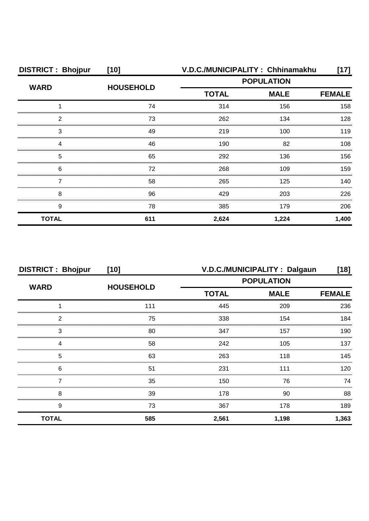| <b>DISTRICT: Bhojpur</b> | $[10]$           |                   | V.D.C./MUNICIPALITY: Chhinamakhu | [17]          |
|--------------------------|------------------|-------------------|----------------------------------|---------------|
| <b>WARD</b>              |                  | <b>POPULATION</b> |                                  |               |
|                          | <b>HOUSEHOLD</b> | <b>TOTAL</b>      | <b>MALE</b>                      | <b>FEMALE</b> |
|                          | 74               | 314               | 156                              | 158           |
| 2                        | 73               | 262               | 134                              | 128           |
| 3                        | 49               | 219               | 100                              | 119           |
| 4                        | 46               | 190               | 82                               | 108           |
| 5                        | 65               | 292               | 136                              | 156           |
| 6                        | 72               | 268               | 109                              | 159           |
|                          | 58               | 265               | 125                              | 140           |
| 8                        | 96               | 429               | 203                              | 226           |
| 9                        | 78               | 385               | 179                              | 206           |
| <b>TOTAL</b>             | 611              | 2,624             | 1,224                            | 1,400         |

| <b>DISTRICT: Bhojpur</b> | $[10]$           | V.D.C./MUNICIPALITY: Dalgaun<br>[18] |             |               |
|--------------------------|------------------|--------------------------------------|-------------|---------------|
| <b>WARD</b>              | <b>HOUSEHOLD</b> | <b>POPULATION</b>                    |             |               |
|                          |                  | <b>TOTAL</b>                         | <b>MALE</b> | <b>FEMALE</b> |
|                          | 111              | 445                                  | 209         | 236           |
| 2                        | 75               | 338                                  | 154         | 184           |
| 3                        | 80               | 347                                  | 157         | 190           |
|                          | 58               | 242                                  | 105         | 137           |
| 5                        | 63               | 263                                  | 118         | 145           |
| 6                        | 51               | 231                                  | 111         | 120           |
|                          | 35               | 150                                  | 76          | 74            |
| 8                        | 39               | 178                                  | 90          | 88            |
| 9                        | 73               | 367                                  | 178         | 189           |
| <b>TOTAL</b>             | 585              | 2,561                                | 1,198       | 1,363         |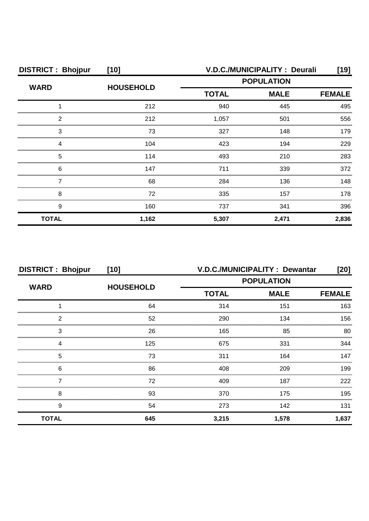| <b>DISTRICT: Bhojpur</b> | $[10]$           |                   | <b>V.D.C./MUNICIPALITY: Deurali</b> | [19]          |
|--------------------------|------------------|-------------------|-------------------------------------|---------------|
| <b>WARD</b>              |                  | <b>POPULATION</b> |                                     |               |
|                          | <b>HOUSEHOLD</b> | <b>TOTAL</b>      | <b>MALE</b>                         | <b>FEMALE</b> |
|                          | 212              | 940               | 445                                 | 495           |
| 2                        | 212              | 1,057             | 501                                 | 556           |
| 3                        | 73               | 327               | 148                                 | 179           |
|                          | 104              | 423               | 194                                 | 229           |
| 5                        | 114              | 493               | 210                                 | 283           |
| 6                        | 147              | 711               | 339                                 | 372           |
|                          | 68               | 284               | 136                                 | 148           |
| 8                        | 72               | 335               | 157                                 | 178           |
| 9                        | 160              | 737               | 341                                 | 396           |
| <b>TOTAL</b>             | 1,162            | 5,307             | 2,471                               | 2,836         |

| <b>DISTRICT: Bhojpur</b> | $[10]$           | <b>V.D.C./MUNICIPALITY: Dewantar</b><br>[20] |             |               |
|--------------------------|------------------|----------------------------------------------|-------------|---------------|
|                          |                  | <b>POPULATION</b>                            |             |               |
| <b>WARD</b>              | <b>HOUSEHOLD</b> | <b>TOTAL</b>                                 | <b>MALE</b> | <b>FEMALE</b> |
|                          | 64               | 314                                          | 151         | 163           |
| 2                        | 52               | 290                                          | 134         | 156           |
| 3                        | 26               | 165                                          | 85          | 80            |
| 4                        | 125              | 675                                          | 331         | 344           |
| 5                        | 73               | 311                                          | 164         | 147           |
| 6                        | 86               | 408                                          | 209         | 199           |
|                          | 72               | 409                                          | 187         | 222           |
| 8                        | 93               | 370                                          | 175         | 195           |
| 9                        | 54               | 273                                          | 142         | 131           |
| <b>TOTAL</b>             | 645              | 3,215                                        | 1,578       | 1,637         |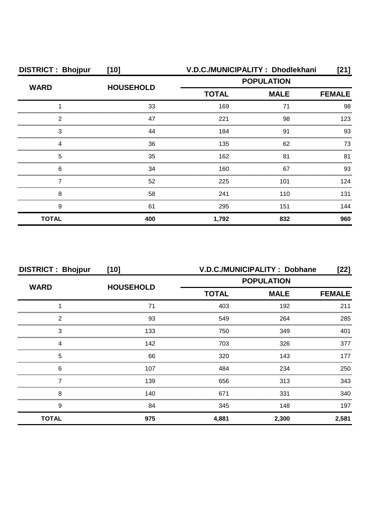| <b>DISTRICT: Bhojpur</b> | $[10]$           | V.D.C./MUNICIPALITY: Dhodlekhani |                   | [21]          |
|--------------------------|------------------|----------------------------------|-------------------|---------------|
| <b>WARD</b>              | <b>HOUSEHOLD</b> |                                  | <b>POPULATION</b> |               |
|                          |                  | <b>TOTAL</b>                     | <b>MALE</b>       | <b>FEMALE</b> |
|                          | 33               | 169                              | 71                | 98            |
| 2                        | 47               | 221                              | 98                | 123           |
| 3                        | 44               | 184                              | 91                | 93            |
|                          | 36               | 135                              | 62                | 73            |
| 5                        | 35               | 162                              | 81                | 81            |
| 6                        | 34               | 160                              | 67                | 93            |
|                          | 52               | 225                              | 101               | 124           |
| 8                        | 58               | 241                              | 110               | 131           |
| 9                        | 61               | 295                              | 151               | 144           |
| <b>TOTAL</b>             | 400              | 1,792                            | 832               | 960           |

| <b>DISTRICT: Bhojpur</b> | $[10]$           | V.D.C./MUNICIPALITY : Dobhane<br>$[22]$ |               |       |
|--------------------------|------------------|-----------------------------------------|---------------|-------|
| <b>WARD</b>              |                  | <b>POPULATION</b>                       |               |       |
|                          | <b>HOUSEHOLD</b> | <b>TOTAL</b><br><b>MALE</b>             | <b>FEMALE</b> |       |
|                          | 71               | 403                                     | 192           | 211   |
| 2                        | 93               | 549                                     | 264           | 285   |
| 3                        | 133              | 750                                     | 349           | 401   |
| 4                        | 142              | 703                                     | 326           | 377   |
| 5                        | 66               | 320                                     | 143           | 177   |
| 6                        | 107              | 484                                     | 234           | 250   |
|                          | 139              | 656                                     | 313           | 343   |
| 8                        | 140              | 671                                     | 331           | 340   |
| 9                        | 84               | 345                                     | 148           | 197   |
| <b>TOTAL</b>             | 975              | 4,881                                   | 2,300         | 2,581 |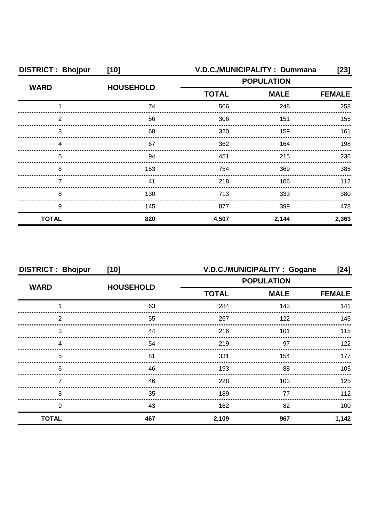| <b>DISTRICT: Bhojpur</b> | $[10]$           |              | V.D.C./MUNICIPALITY: Dummana | [23]          |
|--------------------------|------------------|--------------|------------------------------|---------------|
| <b>WARD</b>              | <b>HOUSEHOLD</b> |              | <b>POPULATION</b>            |               |
|                          |                  | <b>TOTAL</b> | <b>MALE</b>                  | <b>FEMALE</b> |
|                          | 74               | 506          | 248                          | 258           |
| 2                        | 56               | 306          | 151                          | 155           |
| З                        | 60               | 320          | 159                          | 161           |
|                          | 67               | 362          | 164                          | 198           |
| 5                        | 94               | 451          | 215                          | 236           |
| 6                        | 153              | 754          | 369                          | 385           |
|                          | 41               | 218          | 106                          | 112           |
| 8                        | 130              | 713          | 333                          | 380           |
| 9                        | 145              | 877          | 399                          | 478           |
| <b>TOTAL</b>             | 820              | 4,507        | 2,144                        | 2,363         |

| <b>DISTRICT: Bhojpur</b> | $[10]$           | V.D.C./MUNICIPALITY: Gogane<br>[24] |             |               |
|--------------------------|------------------|-------------------------------------|-------------|---------------|
| <b>WARD</b>              |                  | <b>POPULATION</b>                   |             |               |
|                          | <b>HOUSEHOLD</b> | <b>TOTAL</b>                        | <b>MALE</b> | <b>FEMALE</b> |
|                          | 63               | 284                                 | 143         | 141           |
| 2                        | 55               | 267                                 | 122         | 145           |
| 3                        | 44               | 216                                 | 101         | 115           |
| Δ                        | 54               | 219                                 | 97          | 122.          |
| 5                        | 81               | 331                                 | 154         | 177           |
| 6                        | 46               | 193                                 | 88          | $105 -$       |
|                          | 46               | 228                                 | 103         | 125           |
| 8                        | 35               | 189                                 | 77          | 112           |
| 9                        | 43               | 182                                 | 82          | 100           |
| <b>TOTAL</b>             | 467              | 2,109                               | 967         | 1,142         |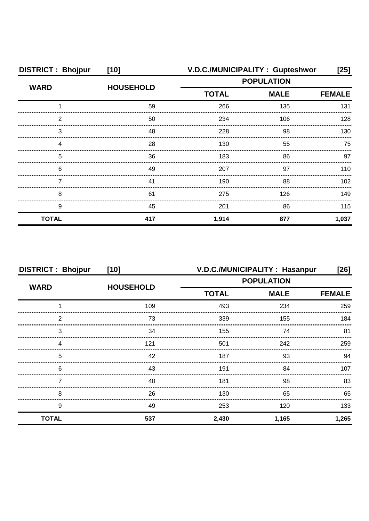| <b>DISTRICT: Bhojpur</b> | $[10]$           | V.D.C./MUNICIPALITY: Gupteshwor                  |               |       |
|--------------------------|------------------|--------------------------------------------------|---------------|-------|
|                          | <b>HOUSEHOLD</b> | <b>POPULATION</b><br><b>TOTAL</b><br><b>MALE</b> |               |       |
| <b>WARD</b>              |                  |                                                  | <b>FEMALE</b> |       |
|                          | 59               | 266                                              | 135           | 131   |
| ◠                        | 50               | 234                                              | 106           | 128   |
| З                        | 48               | 228                                              | 98            | 130   |
|                          | 28               | 130                                              | 55            | 75    |
| 5                        | 36               | 183                                              | 86            | 97    |
| 6                        | 49               | 207                                              | 97            | 110   |
|                          | 41               | 190                                              | 88            | 102   |
| 8                        | 61               | 275                                              | 126           | 149   |
| 9                        | 45               | 201                                              | 86            | 115   |
| <b>TOTAL</b>             | 417              | 1,914                                            | 877           | 1,037 |

| <b>DISTRICT: Bhojpur</b> | $[10]$           | V.D.C./MUNICIPALITY: Hasanpur<br>$[26]$<br><b>POPULATION</b> |             |               |
|--------------------------|------------------|--------------------------------------------------------------|-------------|---------------|
| <b>WARD</b>              |                  |                                                              |             |               |
|                          | <b>HOUSEHOLD</b> | <b>TOTAL</b>                                                 | <b>MALE</b> | <b>FEMALE</b> |
|                          | 109              | 493                                                          | 234         | 259           |
| 2                        | 73               | 339                                                          | 155         | 184           |
| 3                        | 34               | 155                                                          | 74          | 81            |
|                          | 121              | 501                                                          | 242         | 259           |
| 5                        | 42               | 187                                                          | 93          | .94           |
| 6                        | 43               | 191                                                          | 84          | 107           |
|                          | 40               | 181                                                          | 98          | 83            |
| 8                        | 26               | 130                                                          | 65          | 65            |
| 9                        | 49               | 253                                                          | 120         | 133           |
| <b>TOTAL</b>             | 537              | 2,430                                                        | 1,165       | 1,265         |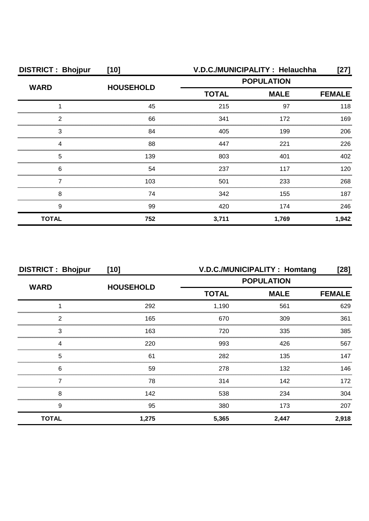| <b>DISTRICT: Bhojpur</b> | $[10]$           | V.D.C./MUNICIPALITY: Helauchha |             | [27]          |
|--------------------------|------------------|--------------------------------|-------------|---------------|
|                          | <b>HOUSEHOLD</b> | <b>POPULATION</b>              |             |               |
| <b>WARD</b>              |                  | <b>TOTAL</b>                   | <b>MALE</b> | <b>FEMALE</b> |
|                          | 45               | 215                            | 97          | 118           |
| 2                        | 66               | 341                            | 172         | 169           |
| З                        | 84               | 405                            | 199         | 206           |
|                          | 88               | 447                            | 221         | 226           |
| 5                        | 139              | 803                            | 401         | 402           |
| 6                        | 54               | 237                            | 117         | 120           |
|                          | 103              | 501                            | 233         | 268           |
| 8                        | 74               | 342                            | 155         | 187           |
| 9                        | 99               | 420                            | 174         | 246           |
| <b>TOTAL</b>             | 752              | 3,711                          | 1,769       | 1,942         |

| <b>DISTRICT: Bhojpur</b> | $[10]$           | V.D.C./MUNICIPALITY: Homtang<br>[28] |                   |               |
|--------------------------|------------------|--------------------------------------|-------------------|---------------|
|                          | <b>HOUSEHOLD</b> |                                      | <b>POPULATION</b> |               |
| <b>WARD</b>              |                  | <b>TOTAL</b>                         | <b>MALE</b>       | <b>FEMALE</b> |
|                          | 292              | 1,190                                | 561               | 629           |
| 2                        | 165              | 670                                  | 309               | 361           |
| 3                        | 163              | 720                                  | 335               | 385           |
|                          | 220              | 993                                  | 426               | 567           |
| 5                        | 61               | 282                                  | 135               | 147           |
| 6                        | 59               | 278                                  | 132               | 146           |
|                          | 78               | 314                                  | 142               | 172           |
| 8                        | 142              | 538                                  | 234               | 304           |
| 9                        | 95               | 380                                  | 173               | 207           |
| <b>TOTAL</b>             | 1,275            | 5,365                                | 2,447             | 2,918         |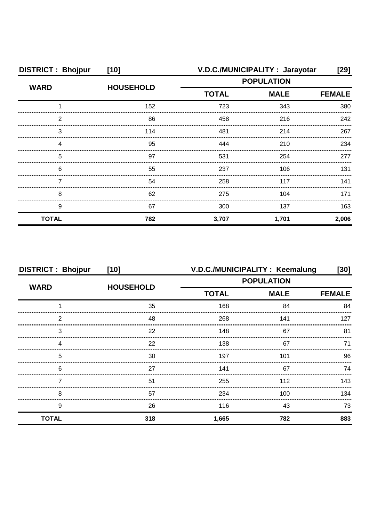| <b>DISTRICT: Bhojpur</b> | $[10]$           |                   | V.D.C./MUNICIPALITY: Jarayotar | [29]          |
|--------------------------|------------------|-------------------|--------------------------------|---------------|
|                          | <b>HOUSEHOLD</b> | <b>POPULATION</b> |                                |               |
| <b>WARD</b>              |                  | <b>TOTAL</b>      | <b>MALE</b>                    | <b>FEMALE</b> |
|                          | 152              | 723               | 343                            | 380           |
| າ                        | 86               | 458               | 216                            | 242           |
| 3                        | 114              | 481               | 214                            | 267           |
|                          | 95               | 444               | 210                            | 234           |
| 5                        | 97               | 531               | 254                            | 277           |
| 6                        | 55               | 237               | 106                            | 131           |
|                          | 54               | 258               | 117                            | 141           |
| 8                        | 62               | 275               | 104                            | 171           |
| 9                        | 67               | 300               | 137                            | 163           |
| <b>TOTAL</b>             | 782              | 3,707             | 1,701                          | 2,006         |

| <b>DISTRICT: Bhojpur</b> | $[10]$           | V.D.C./MUNICIPALITY: Keemalung<br>[30]<br><b>POPULATION</b> |             |               |
|--------------------------|------------------|-------------------------------------------------------------|-------------|---------------|
|                          |                  |                                                             |             |               |
| <b>WARD</b>              | <b>HOUSEHOLD</b> | <b>TOTAL</b>                                                | <b>MALE</b> | <b>FEMALE</b> |
|                          | 35               | 168                                                         | 84          | 84            |
| 2                        | 48               | 268                                                         | 141         | 127           |
| 3                        | 22               | 148                                                         | 67          | 81            |
|                          | 22               | 138                                                         | 67          | 71            |
| 5                        | 30               | 197                                                         | 101         | 96            |
| 6                        | 27               | 141                                                         | 67          | 74            |
|                          | 51               | 255                                                         | 112         | 143           |
| 8                        | 57               | 234                                                         | 100         | 134           |
| 9                        | 26               | 116                                                         | 43          | 73            |
| <b>TOTAL</b>             | 318              | 1,665                                                       | 782         | 883           |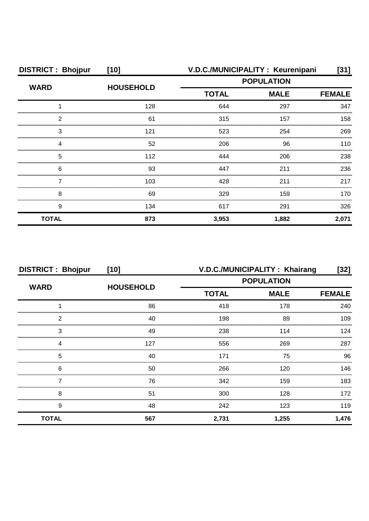| <b>DISTRICT: Bhojpur</b> | $[10]$           |                                                  | V.D.C./MUNICIPALITY: Keurenipani | [31]  |
|--------------------------|------------------|--------------------------------------------------|----------------------------------|-------|
| <b>WARD</b>              | <b>HOUSEHOLD</b> | <b>POPULATION</b><br><b>MALE</b><br><b>TOTAL</b> |                                  |       |
|                          |                  |                                                  | <b>FEMALE</b>                    |       |
|                          | 128              | 644                                              | 297                              | 347   |
| 2                        | 61               | 315                                              | 157                              | 158   |
| 3                        | 121              | 523                                              | 254                              | 269   |
|                          | 52               | 206                                              | 96                               | 110   |
| 5                        | 112              | 444                                              | 206                              | 238   |
| 6                        | 93               | 447                                              | 211                              | 236   |
|                          | 103              | 428                                              | 211                              | 217   |
| 8                        | 69               | 329                                              | 159                              | 170   |
| 9                        | 134              | 617                                              | 291                              | 326   |
| <b>TOTAL</b>             | 873              | 3,953                                            | 1,882                            | 2,071 |

| <b>DISTRICT: Bhojpur</b> | $[10]$           | V.D.C./MUNICIPALITY: Khairang<br>$[32]$ |                   |               |
|--------------------------|------------------|-----------------------------------------|-------------------|---------------|
|                          |                  |                                         | <b>POPULATION</b> |               |
| <b>WARD</b>              | <b>HOUSEHOLD</b> | <b>TOTAL</b>                            | <b>MALE</b>       | <b>FEMALE</b> |
|                          | 86               | 418                                     | 178               | 240           |
| 2                        | 40               | 198                                     | 89                | 109           |
| 3                        | 49               | 238                                     | 114               | 124           |
| Δ                        | 127              | 556                                     | 269               | 287           |
| 5                        | 40               | 171                                     | 75                | 96            |
| 6                        | 50               | 266                                     | 120               | 146           |
|                          | 76               | 342                                     | 159               | 183           |
| 8                        | 51               | 300                                     | 128               | 172           |
| 9                        | 48               | 242                                     | 123               | 119           |
| <b>TOTAL</b>             | 567              | 2,731                                   | 1,255             | 1,476         |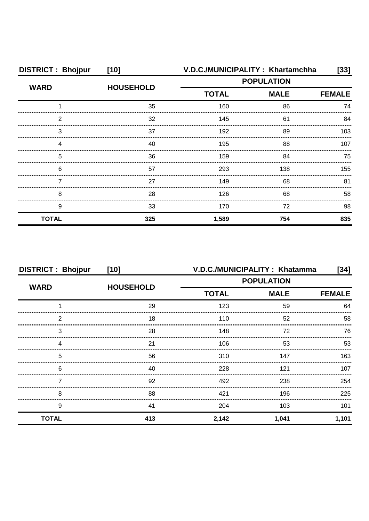| <b>DISTRICT: Bhojpur</b> | $[10]$           |                   | V.D.C./MUNICIPALITY: Khartamchha | $[33]$        |
|--------------------------|------------------|-------------------|----------------------------------|---------------|
| <b>WARD</b>              |                  | <b>POPULATION</b> |                                  |               |
|                          | <b>HOUSEHOLD</b> | <b>TOTAL</b>      | <b>MALE</b>                      | <b>FEMALE</b> |
|                          | 35               | 160               | 86                               | 74            |
| 2                        | 32               | 145               | 61                               | 84            |
| 3                        | 37               | 192               | 89                               | 103           |
| Δ                        | 40               | 195               | 88                               | 107           |
| 5                        | 36               | 159               | 84                               | 75            |
| 6                        | 57               | 293               | 138                              | 155           |
|                          | 27               | 149               | 68                               | 81            |
| 8                        | 28               | 126               | 68                               | 58            |
| 9                        | 33               | 170               | 72                               | 98            |
| <b>TOTAL</b>             | 325              | 1,589             | 754                              | 835           |

| <b>DISTRICT: Bhojpur</b> | $[10]$           | V.D.C./MUNICIPALITY: Khatamma<br>$[34]$ |             |               |
|--------------------------|------------------|-----------------------------------------|-------------|---------------|
| <b>WARD</b>              |                  | <b>POPULATION</b>                       |             |               |
|                          | <b>HOUSEHOLD</b> | <b>TOTAL</b>                            | <b>MALE</b> | <b>FEMALE</b> |
|                          | 29               | 123                                     | 59          | 64            |
| 2                        | 18               | 110                                     | 52          | 58            |
| 3                        | 28               | 148                                     | 72          | 76            |
| Δ                        | 21               | 106                                     | 53          | 53            |
| 5                        | 56               | 310                                     | 147         | 163           |
| 6                        | 40               | 228                                     | 121         | 107           |
|                          | 92               | 492                                     | 238         | 254           |
| 8                        | 88               | 421                                     | 196         | 225           |
| 9                        | 41               | 204                                     | 103         | 101           |
| <b>TOTAL</b>             | 413              | 2,142                                   | 1,041       | 1,101         |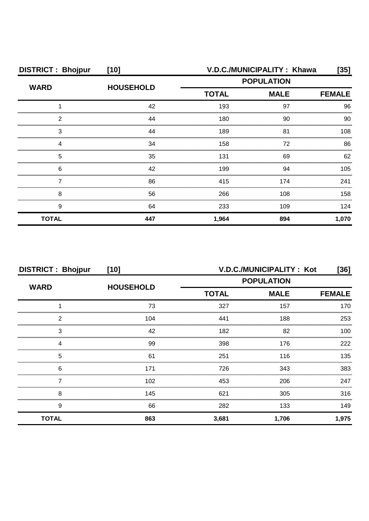| <b>DISTRICT: Bhojpur</b> | $[10]$           |                   | V.D.C./MUNICIPALITY: Khawa | [35]          |
|--------------------------|------------------|-------------------|----------------------------|---------------|
| <b>WARD</b>              | <b>HOUSEHOLD</b> | <b>POPULATION</b> |                            |               |
|                          |                  | <b>TOTAL</b>      | <b>MALE</b>                | <b>FEMALE</b> |
|                          | 42               | 193               | 97                         | 96            |
| 2                        | 44               | 180               | 90                         | 90            |
| 3                        | 44               | 189               | 81                         | 108           |
|                          | 34               | 158               | 72                         | 86            |
| 5                        | 35               | 131               | 69                         | 62            |
| 6                        | 42               | 199               | 94                         | 105           |
|                          | 86               | 415               | 174                        | 241           |
| 8                        | 56               | 266               | 108                        | 158           |
| 9                        | 64               | 233               | 109                        | 124           |
| <b>TOTAL</b>             | 447              | 1,964             | 894                        | 1,070         |

| <b>DISTRICT: Bhojpur</b> | $[10]$           |                   | V.D.C./MUNICIPALITY: Kot | [36]          |
|--------------------------|------------------|-------------------|--------------------------|---------------|
| <b>WARD</b>              | <b>HOUSEHOLD</b> | <b>POPULATION</b> |                          |               |
|                          |                  | <b>TOTAL</b>      | <b>MALE</b>              | <b>FEMALE</b> |
|                          | 73               | 327               | 157                      | 170           |
| 2                        | 104              | 441               | 188                      | 253           |
| 3                        | 42               | 182               | 82                       | 100           |
| 4                        | 99               | 398               | 176                      | 222           |
| 5                        | 61               | 251               | 116                      | 135           |
| 6                        | 171              | 726               | 343                      | 383           |
|                          | 102              | 453               | 206                      | 247           |
| 8                        | 145              | 621               | 305                      | 316           |
| 9                        | 66               | 282               | 133                      | 149           |
| <b>TOTAL</b>             | 863              | 3,681             | 1,706                    | 1,975         |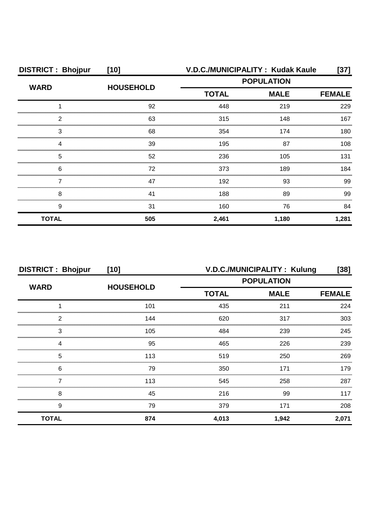| <b>DISTRICT: Bhojpur</b>                    | $[10]$           | V.D.C./MUNICIPALITY: Kudak Kaule |             |               |  |
|---------------------------------------------|------------------|----------------------------------|-------------|---------------|--|
| <b>WARD</b>                                 | <b>HOUSEHOLD</b> | <b>POPULATION</b>                |             |               |  |
|                                             |                  | <b>TOTAL</b>                     | <b>MALE</b> | <b>FEMALE</b> |  |
|                                             | 92               | 448                              | 219         | 229           |  |
| 2                                           | 63               | 315                              | 148         | 167           |  |
| 3                                           | 68               | 354                              | 174         | 180           |  |
| Δ                                           | 39               | 195                              | 87          | 108           |  |
| 5                                           | 52               | 236                              | 105         | 131           |  |
| 6<br>,,,,,,,,,,,,,,,,,,,,,,,,,,,,,,,,,,,,,, | 72               | 373                              | 189         | 184           |  |
|                                             | 47               | 192                              | 93          | 99            |  |
| 8                                           | 41               | 188                              | 89          | 99            |  |
| 9                                           | 31               | 160                              | 76          | 84            |  |
| <b>TOTAL</b>                                | 505              | 2,461                            | 1,180       | 1,281         |  |

| <b>DISTRICT: Bhojpur</b> | $[10]$           |                             | V.D.C./MUNICIPALITY: Kulung | [38]  |
|--------------------------|------------------|-----------------------------|-----------------------------|-------|
| <b>WARD</b>              |                  | <b>POPULATION</b>           |                             |       |
|                          | <b>HOUSEHOLD</b> | <b>TOTAL</b><br><b>MALE</b> | <b>FEMALE</b>               |       |
|                          | 101              | 435                         | 211                         | 224   |
| 2                        | 144              | 620                         | 317                         | 303   |
| 3                        | 105              | 484                         | 239                         | 245   |
| Δ                        | 95               | 465                         | 226                         | 239   |
| 5                        | 113              | 519                         | 250                         | 269   |
| 6                        | 79               | 350                         | 171                         | 179   |
|                          | 113              | 545                         | 258                         | 287   |
| 8                        | 45               | 216                         | 99                          | 117   |
| 9                        | 79               | 379                         | 171                         | 208   |
| <b>TOTAL</b>             | 874              | 4,013                       | 1,942                       | 2,071 |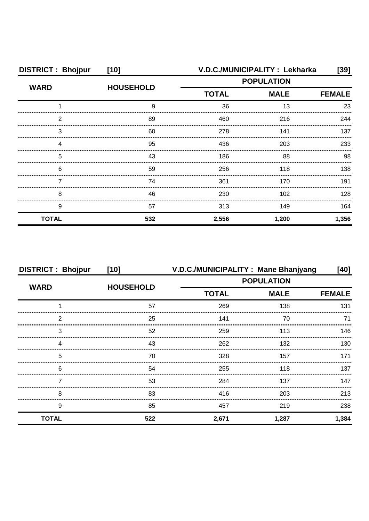| <b>DISTRICT: Bhojpur</b> | $[10]$           |                   | V.D.C./MUNICIPALITY : Lekharka | [39]  |
|--------------------------|------------------|-------------------|--------------------------------|-------|
| <b>WARD</b>              | <b>HOUSEHOLD</b> | <b>POPULATION</b> |                                |       |
|                          |                  | <b>TOTAL</b>      | <b>MALE</b>                    |       |
|                          | 9                | 36                | 13                             | 23    |
| 2                        | 89               | 460               | 216                            | 244   |
| З                        | 60               | 278               | 141                            | 137   |
|                          | 95               | 436               | 203                            | 233   |
| 5                        | 43               | 186               | 88                             | 98    |
| 6                        | 59               | 256               | 118                            | 138.  |
|                          | 74               | 361               | 170                            | 191   |
| 8                        | 46               | 230               | 102                            | 128   |
| 9                        | 57               | 313               | 149                            | 164   |
| <b>TOTAL</b>             | 532              | 2,556             | 1,200                          | 1,356 |

| <b>DISTRICT: Bhojpur</b> | $[10]$           | V.D.C./MUNICIPALITY : Mane Bhanjyang |                   | [40]          |
|--------------------------|------------------|--------------------------------------|-------------------|---------------|
| <b>WARD</b>              |                  |                                      | <b>POPULATION</b> |               |
|                          | <b>HOUSEHOLD</b> | <b>TOTAL</b>                         | <b>MALE</b>       | <b>FEMALE</b> |
|                          | 57               | 269                                  | 138               | 131           |
| 2                        | 25               | 141                                  | 70                |               |
| 3                        | 52               | 259                                  | 113               | 146           |
| Δ                        | 43               | 262                                  | 132               | 130           |
| 5                        | 70               | 328                                  | 157               | 171           |
| 6                        | 54               | 255                                  | 118               | 137           |
|                          | 53               | 284                                  | 137               | 147           |
| 8                        | 83               | 416                                  | 203               | 213           |
| 9                        | 85               | 457                                  | 219               | 238           |
| <b>TOTAL</b>             | 522              | 2,671                                | 1,287             | 1,384         |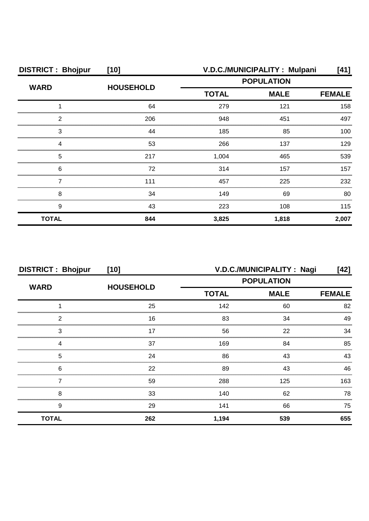| <b>DISTRICT: Bhojpur</b> | $[10]$           | V.D.C./MUNICIPALITY: Mulpani |                    | [41]          |
|--------------------------|------------------|------------------------------|--------------------|---------------|
| <b>WARD</b>              | <b>HOUSEHOLD</b> | <b>POPULATION</b>            |                    |               |
|                          |                  | <b>TOTAL</b>                 | <b>MALE</b><br>121 | <b>FEMALE</b> |
|                          | 64               | 279                          |                    | 158           |
| っ                        | 206              | 948                          | 451                | 497           |
| 3                        | 44               | 185                          | 85                 | 100           |
|                          | 53               | 266                          | 137                | 129           |
| 5                        | 217              | 1,004                        | 465                | 539           |
| 6                        | 72               | 314                          | 157                | 157           |
|                          | 111              | 457                          | 225                | 232           |
| 8                        | 34               | 149                          | 69                 | 80            |
| 9                        | 43               | 223                          | 108                | 115           |
| <b>TOTAL</b>             | 844              | 3,825                        | 1,818              | 2,007         |

| <b>DISTRICT: Bhojpur</b> | $[10]$           |                   | V.D.C./MUNICIPALITY: Nagi    | [42] |
|--------------------------|------------------|-------------------|------------------------------|------|
| <b>WARD</b>              | <b>HOUSEHOLD</b> | <b>POPULATION</b> |                              |      |
|                          |                  | <b>TOTAL</b>      | <b>MALE</b><br><b>FEMALE</b> |      |
|                          | 25               | 142               | 60                           | 82   |
| っ                        | 16               | 83                | 34                           | 49   |
| 3                        | 17               | 56                | 22                           | 34   |
|                          | 37               | 169               | 84                           | 85   |
| 5                        | 24               | 86                | 43                           | 43   |
| 6                        | 22               | 89                | 43                           | 46   |
|                          | 59               | 288               | 125                          | 163  |
| 8                        | 33               | 140               | 62                           | 78   |
| 9                        | 29               | 141               | 66                           | 75   |
| <b>TOTAL</b>             | 262              | 1,194             | 539                          | 655  |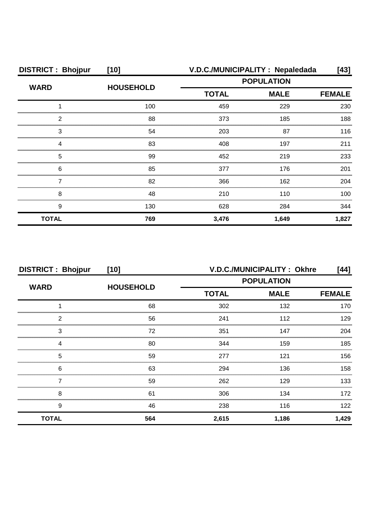| <b>DISTRICT: Bhojpur</b> | $[10]$           | V.D.C./MUNICIPALITY: Nepaledada                  |               |       |  |
|--------------------------|------------------|--------------------------------------------------|---------------|-------|--|
| <b>WARD</b>              | <b>HOUSEHOLD</b> | <b>POPULATION</b><br><b>MALE</b><br><b>TOTAL</b> |               |       |  |
|                          |                  |                                                  | <b>FEMALE</b> |       |  |
|                          | 100              | 459                                              | 229           | 230   |  |
| 2                        | 88               | 373                                              | 185           | 188   |  |
| 3                        | 54               | 203                                              | 87            | 116   |  |
| Δ                        | 83               | 408                                              | 197           | 211   |  |
| 5                        | 99               | 452                                              | 219           | 233   |  |
| 6                        | 85               | 377                                              | 176           | 201   |  |
|                          | 82               | 366                                              | 162           | 204   |  |
| 8                        | 48               | 210                                              | 110           | 100   |  |
| 9                        | 130              | 628                                              | 284           | 344   |  |
| <b>TOTAL</b>             | 769              | 3,476                                            | 1,649         | 1,827 |  |

| <b>DISTRICT: Bhojpur</b> | $[10]$           | V.D.C./MUNICIPALITY: Okhre<br>[44] |             |               |
|--------------------------|------------------|------------------------------------|-------------|---------------|
| <b>WARD</b>              |                  | <b>POPULATION</b>                  |             |               |
|                          | <b>HOUSEHOLD</b> | <b>TOTAL</b>                       | <b>MALE</b> | <b>FEMALE</b> |
|                          | 68               | 302                                | 132         | 170           |
| 2                        | 56               | 241                                | 112         | 129           |
| 3                        | 72               | 351                                | 147         | 204           |
| Δ                        | 80               | 344                                | 159         | 185           |
| 5                        | 59               | 277                                | 121         | 156           |
| 6                        | 63               | 294                                | 136         | 158           |
|                          | 59               | 262                                | 129         | 133           |
| 8                        | 61               | 306                                | 134         | 172           |
| 9                        | 46               | 238                                | 116         | 122           |
| <b>TOTAL</b>             | 564              | 2,615                              | 1,186       | 1,429         |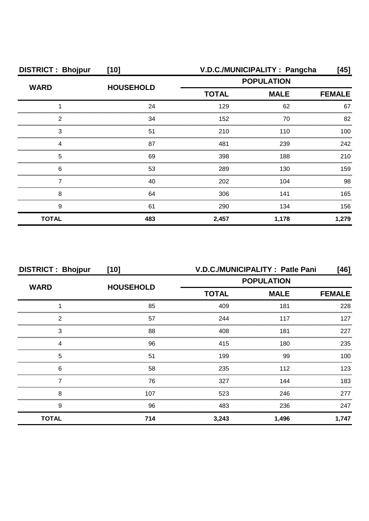| <b>DISTRICT: Bhojpur</b> | $[10]$           |                             | V.D.C./MUNICIPALITY: Pangcha | [45]          |
|--------------------------|------------------|-----------------------------|------------------------------|---------------|
| <b>WARD</b>              | <b>HOUSEHOLD</b> |                             | <b>POPULATION</b>            |               |
|                          |                  | <b>TOTAL</b><br><b>MALE</b> |                              | <b>FEMALE</b> |
|                          | 24               | 129                         | 62                           | 67            |
| っ                        | 34               | 152                         | 70                           | 82            |
| 3                        | 51               | 210                         | 110                          | 100           |
|                          | 87               | 481                         | 239                          | 242           |
| 5                        | 69               | 398                         | 188                          | 210           |
| 6                        | 53               | 289                         | 130                          | 159           |
|                          | 40               | 202                         | 104                          | 98            |
| 8                        | 64               | 306                         | 141                          | 165           |
| 9                        | 61               | 290                         | 134                          | 156           |
| <b>TOTAL</b>             | 483              | 2,457                       | 1,178                        | 1,279         |

| <b>DISTRICT: Bhojpur</b> | $[10]$           |                             | V.D.C./MUNICIPALITY: Patle Pani | [46]          |
|--------------------------|------------------|-----------------------------|---------------------------------|---------------|
| <b>WARD</b>              | <b>HOUSEHOLD</b> |                             | <b>POPULATION</b>               |               |
|                          |                  | <b>TOTAL</b><br><b>MALE</b> |                                 | <b>FEMALE</b> |
|                          | 85               | 409                         | 181                             | 228           |
| 2                        | 57               | 244                         | 117                             | 127           |
| 3                        | 88               | 408                         | 181                             | 227           |
|                          | 96               | 415                         | 180                             | 235           |
| 5                        | 51               | 199                         | 99                              | 100           |
| 6                        | 58               | 235                         | 112                             | 123.          |
|                          | 76               | 327                         | 144                             | 183           |
| 8                        | 107              | 523                         | 246                             | 277           |
| 9                        | 96               | 483                         | 236                             | 247           |
| <b>TOTAL</b>             | 714              | 3,243                       | 1,496                           | 1,747         |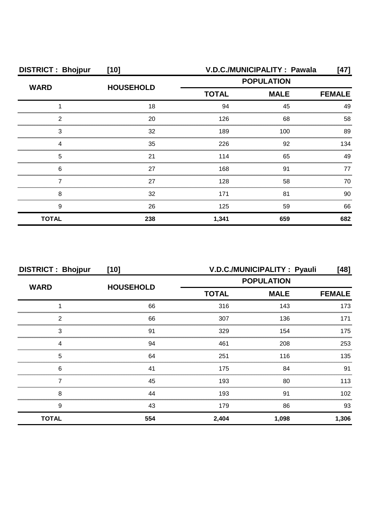| <b>DISTRICT: Bhojpur</b> | $[10]$           | V.D.C./MUNICIPALITY : Pawala<br>[47] |               |     |
|--------------------------|------------------|--------------------------------------|---------------|-----|
| <b>WARD</b>              |                  | <b>POPULATION</b>                    |               |     |
|                          | <b>HOUSEHOLD</b> | <b>TOTAL</b><br><b>MALE</b>          | <b>FEMALE</b> |     |
|                          | 18               | 94                                   | 45            | 49  |
| 2                        | 20               | 126                                  | 68            | 58  |
| 3                        | 32               | 189                                  | 100           | 89  |
|                          | 35               | 226                                  | 92            | 134 |
| 5                        | 21               | 114                                  | 65            | 49  |
| 6                        | 27               | 168                                  | 91            | 77  |
|                          | 27               | 128                                  | 58            | 70  |
| 8                        | 32               | 171                                  | 81            | 90  |
| 9                        | 26               | 125                                  | 59            | 66  |
| <b>TOTAL</b>             | 238              | 1,341                                | 659           | 682 |

| <b>DISTRICT: Bhojpur</b> | $[10]$           |                   | V.D.C./MUNICIPALITY : Pyauli | [48]          |
|--------------------------|------------------|-------------------|------------------------------|---------------|
| <b>WARD</b>              |                  | <b>POPULATION</b> |                              |               |
|                          | <b>HOUSEHOLD</b> | <b>TOTAL</b>      | <b>MALE</b>                  | <b>FEMALE</b> |
|                          | 66               | 316               | 143                          | 173           |
| 2                        | 66               | 307               | 136                          | 171           |
| 3                        | .91              | 329               | 154                          | 175           |
|                          | 94               | 461               | 208                          | 253           |
| 5                        | 64               | 251               | 116                          | 135           |
| 6                        | 41               | 175               | 84                           | 91            |
|                          | 45               | 193               | 80                           | 113           |
| 8                        | 44               | 193               | 91                           | 102           |
| 9                        | 43               | 179               | 86                           | 93            |
| <b>TOTAL</b>             | 554              | 2,404             | 1,098                        | 1,306         |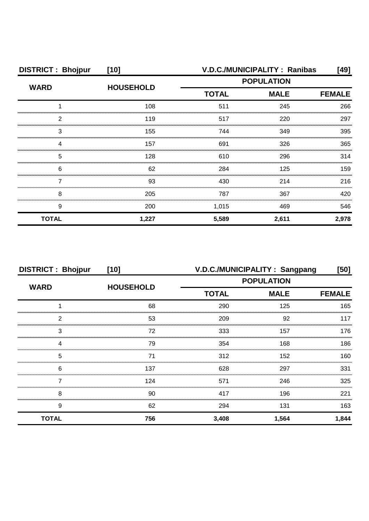| <b>DISTRICT: Bhojpur</b> | $[10]$           |                   | V.D.C./MUNICIPALITY: Ranibas | [49]  |
|--------------------------|------------------|-------------------|------------------------------|-------|
| <b>WARD</b>              | <b>HOUSEHOLD</b> | <b>POPULATION</b> |                              |       |
|                          |                  | <b>TOTAL</b>      | <b>MALE</b><br><b>FEMALE</b> |       |
|                          | 108              | 511               | 245                          | 266   |
| 2                        | 119              | 517               | 220                          | 297   |
| З                        | 155              | 744               | 349                          | 395   |
|                          | 157              | 691               | 326                          | 365   |
| 5                        | 128              | 610               | 296                          | 314   |
| 6                        | 62               | 284               | 125                          | 159   |
|                          | 93               | 430               | 214                          | 216   |
| 8                        | 205              | 787               | 367                          | 420   |
| 9                        | 200              | 1,015             | 469                          | 546   |
| <b>TOTAL</b>             | 1,227            | 5,589             | 2,611                        | 2,978 |

| <b>DISTRICT: Bhojpur</b> | $[10]$           |                   | V.D.C./MUNICIPALITY: Sangpang | [50]          |
|--------------------------|------------------|-------------------|-------------------------------|---------------|
|                          |                  | <b>POPULATION</b> |                               |               |
| <b>WARD</b>              | <b>HOUSEHOLD</b> | <b>TOTAL</b>      | <b>MALE</b>                   | <b>FEMALE</b> |
|                          | 68               | 290               | 125                           | 165           |
| 2                        | 53               | 209               | 92                            | 117           |
| 3                        | 72               | 333               | 157                           | 176           |
| Δ                        | 79               | 354               | 168                           | 186           |
| 5                        | 71               | 312               | 152                           | 160           |
| 6                        | 137              | 628               | 297                           | 331           |
|                          | 124              | 571               | 246                           | 325           |
| 8                        | 90               | 417               | 196                           | 221           |
| 9                        | 62               | 294               | 131                           | 163           |
| <b>TOTAL</b>             | 756              | 3,408             | 1,564                         | 1,844         |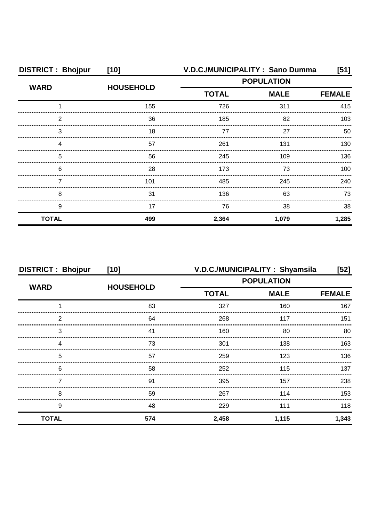| <b>DISTRICT: Bhojpur</b> | $[10]$           |              | V.D.C./MUNICIPALITY: Sano Dumma | [51]          |  |
|--------------------------|------------------|--------------|---------------------------------|---------------|--|
| <b>WARD</b>              | <b>HOUSEHOLD</b> |              | <b>POPULATION</b>               |               |  |
|                          |                  | <b>TOTAL</b> | <b>MALE</b>                     | <b>FEMALE</b> |  |
|                          | 155              | 726          | 311                             | 415           |  |
| 2                        | 36               | 185          | 82                              | 103           |  |
| 3                        | 18               | 77           | 27                              | 50            |  |
|                          | 57               | 261          | 131                             | 130           |  |
| 5                        | 56               | 245          | 109                             | 136           |  |
| 6                        | 28               | 173          | 73                              | 100           |  |
|                          | 101              | 485          | 245                             | 240           |  |
| 8                        | 31               | 136          | 63                              | 73            |  |
| 9                        | 17               | 76           | 38                              | 38            |  |
| <b>TOTAL</b>             | 499              | 2,364        | 1,079                           | 1,285         |  |

| <b>DISTRICT: Bhojpur</b> | $[10]$           |                   | V.D.C./MUNICIPALITY: Shyamsila | $[52]$        |
|--------------------------|------------------|-------------------|--------------------------------|---------------|
|                          |                  | <b>POPULATION</b> |                                |               |
| <b>WARD</b>              | <b>HOUSEHOLD</b> | <b>TOTAL</b>      | <b>MALE</b>                    | <b>FEMALE</b> |
|                          | 83               | 327               | 160                            | 167           |
| 2                        | 64               | 268               | 117                            | 151           |
| 3                        | 41               | 160               | 80                             | 80            |
|                          | 73               | 301               | 138                            | 163           |
| 5                        | 57               | 259               | 123                            | 136           |
| 6                        | 58               | 252               | 115                            | 137           |
|                          | .91              | 395               | 157                            | 238           |
| 8                        | 59               | 267               | 114                            | 153           |
| 9                        | 48               | 229               | 111                            | 118           |
| <b>TOTAL</b>             | 574              | 2,458             | 1,115                          | 1,343         |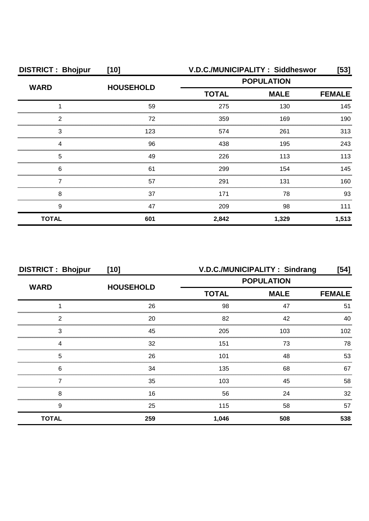| <b>DISTRICT: Bhojpur</b> | $[10]$           |              | V.D.C./MUNICIPALITY: Siddheswor | $[53]$        |
|--------------------------|------------------|--------------|---------------------------------|---------------|
|                          | <b>HOUSEHOLD</b> |              | <b>POPULATION</b>               |               |
| <b>WARD</b>              |                  | <b>TOTAL</b> | <b>MALE</b>                     | <b>FEMALE</b> |
|                          | 59               | 275          | 130                             | 145           |
| ົ                        | 72               | 359          | 169                             | 190           |
| З                        | 123              | 574          | 261                             | 313           |
|                          | 96               | 438          | 195                             | 243           |
| 5                        | 49               | 226          | 113                             | 113           |
| 6                        | 61               | 299          | 154                             | 145           |
|                          | 57               | 291          | 131                             | 160.          |
| 8                        | 37               | 171          | 78                              | 93            |
| 9                        | 47               | 209          | 98                              | 111           |
| <b>TOTAL</b>             | 601              | 2,842        | 1,329                           | 1,513         |

| <b>DISTRICT: Bhojpur</b> | $[10]$           | V.D.C./MUNICIPALITY: Sindrang<br>$[54]$ |                   |               |
|--------------------------|------------------|-----------------------------------------|-------------------|---------------|
|                          |                  |                                         | <b>POPULATION</b> |               |
| <b>WARD</b>              | <b>HOUSEHOLD</b> | <b>TOTAL</b>                            | <b>MALE</b>       | <b>FEMALE</b> |
|                          | 26               | 98                                      | 47                | 51            |
| 2                        | 20               | 82                                      | 42                | 40            |
| 3                        | 45               | 205                                     | 103               | 102           |
| Δ                        | 32               | 151                                     | 73                | 78            |
| 5                        | 26               | 101                                     | 48                | 53            |
| 6                        | 34               | 135                                     | 68                | 67            |
|                          | 35               | 103                                     | 45                | 58            |
| 8                        | 16               | 56                                      | 24                | 32            |
| 9                        | 25               | 115                                     | 58                | 57            |
| <b>TOTAL</b>             | 259              | 1,046                                   | 508               | 538           |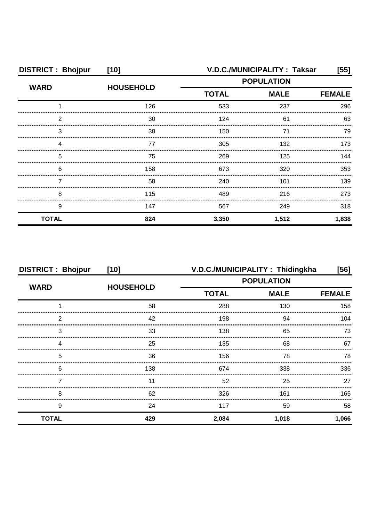| <b>DISTRICT: Bhojpur</b> | $[10]$           | V.D.C./MUNICIPALITY: Taksar<br>[55] |             |               |
|--------------------------|------------------|-------------------------------------|-------------|---------------|
| <b>WARD</b>              | <b>HOUSEHOLD</b> | <b>POPULATION</b>                   |             |               |
|                          |                  | <b>TOTAL</b>                        | <b>MALE</b> | <b>FEMALE</b> |
|                          | 126              | 533                                 | 237         | 296           |
| 2                        | 30               | 124                                 | 61          | 63            |
| 3                        | 38               | 150                                 | 71          | 79            |
|                          | 77               | 305                                 | 132         | 173           |
| 5                        | 75               | 269                                 | 125         | 144           |
| 6                        | 158              | 673                                 | 320         | 353           |
|                          | 58               | 240                                 | 101         | 139           |
| 8                        | 115              | 489                                 | 216         | 273           |
| 9                        | 147              | 567                                 | 249         | 318           |
| <b>TOTAL</b>             | 824              | 3,350                               | 1,512       | 1,838         |

| <b>DISTRICT: Bhojpur</b> | $[10]$           |                   | V.D.C./MUNICIPALITY: Thidingkha | [56]          |
|--------------------------|------------------|-------------------|---------------------------------|---------------|
|                          |                  | <b>POPULATION</b> |                                 |               |
| <b>WARD</b>              | <b>HOUSEHOLD</b> | <b>TOTAL</b>      | <b>MALE</b>                     | <b>FEMALE</b> |
|                          | 58               | 288               | 130                             | 158           |
| 2                        | 42               | 198               | 94                              | 104           |
| 3                        | 33               | 138               | 65                              | 73            |
|                          | 25               | 135               | 68                              | 67            |
| 5                        | 36               | 156               | 78                              | 78            |
| 6                        | 138              | 674               | 338                             | 336           |
|                          |                  | 52                | 25                              | 27            |
| 8                        | 62               | 326               | 161                             | 165           |
| 9                        | 24               | 117               | 59                              | 58            |
| <b>TOTAL</b>             | 429              | 2,084             | 1,018                           | 1,066         |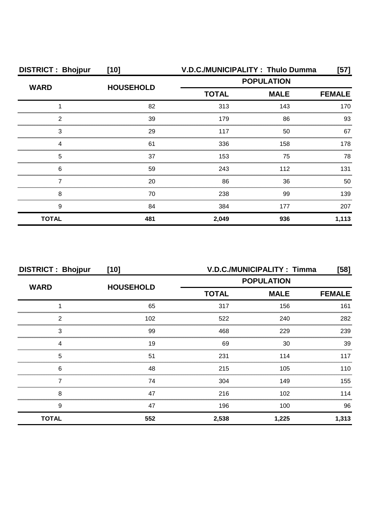| <b>DISTRICT: Bhojpur</b> | $[10]$           |              | V.D.C./MUNICIPALITY: Thulo Dumma | [57]          |  |
|--------------------------|------------------|--------------|----------------------------------|---------------|--|
|                          |                  |              | <b>POPULATION</b>                |               |  |
| <b>WARD</b>              | <b>HOUSEHOLD</b> | <b>TOTAL</b> | <b>MALE</b>                      | <b>FEMALE</b> |  |
|                          | 82               | 313          | 143                              | 170           |  |
| 2                        | 39               | 179          | 86                               | 93            |  |
| 3                        | 29               | 117          | 50                               | 67            |  |
|                          | 61               | 336          | 158                              | 178           |  |
| 5                        | 37               | 153          | 75                               | 78            |  |
| 6                        | 59               | 243          | 112                              | 131           |  |
|                          | 20               | 86           | 36                               | 50            |  |
| 8                        | 70               | 238          | 99                               | 139           |  |
| 9                        | 84               | 384          | 177                              | 207           |  |
| <b>TOTAL</b>             | 481              | 2,049        | 936                              | 1,113         |  |

| <b>DISTRICT: Bhojpur</b> | $[10]$           | <b>V.D.C./MUNICIPALITY: Timma</b><br>$[58]$ |                              |       |
|--------------------------|------------------|---------------------------------------------|------------------------------|-------|
| <b>WARD</b>              | <b>HOUSEHOLD</b> |                                             | <b>POPULATION</b>            |       |
|                          |                  | <b>TOTAL</b>                                | <b>MALE</b><br><b>FEMALE</b> |       |
|                          | 65               | 317                                         | 156                          | 161   |
| 2                        | 102              | 522                                         | 240                          | 282   |
| 3                        | 99               | 468                                         | 229                          | 239   |
|                          | 19               | 69                                          | 30                           | 39    |
| 5                        | 51               | 231                                         | 114                          | 117   |
| 6                        | 48               | 215                                         | 105                          | 110   |
|                          | 74               | 304                                         | 149                          | 155   |
| 8                        | 47               | 216                                         | 102                          | 114   |
| 9                        | 47               | 196                                         | 100                          | 96    |
| <b>TOTAL</b>             | 552              | 2,538                                       | 1,225                        | 1,313 |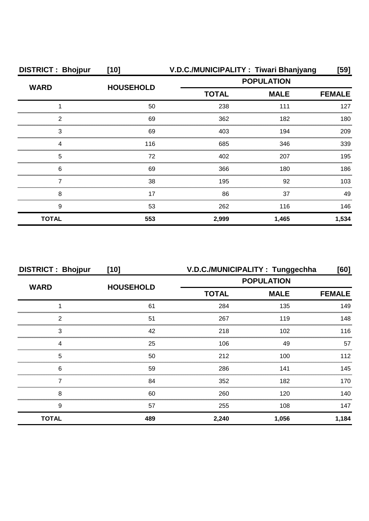| <b>DISTRICT: Bhojpur</b> | $[10]$           | V.D.C./MUNICIPALITY: Tiwari Bhanjyang |                   |               |
|--------------------------|------------------|---------------------------------------|-------------------|---------------|
| <b>WARD</b>              | <b>HOUSEHOLD</b> |                                       | <b>POPULATION</b> |               |
|                          |                  | <b>TOTAL</b>                          | <b>MALE</b>       | <b>FEMALE</b> |
|                          | 50               | 238                                   | 111               | 127           |
| 2                        | 69               | 362                                   | 182               | 180           |
| 3                        | 69               | 403                                   | 194               | 209           |
| Δ                        | 116              | 685                                   | 346               | 339           |
| 5                        | 72               | 402                                   | 207               | 195           |
| 6                        | 69               | 366                                   | 180               | 186           |
|                          | 38               | 195                                   | 92                | 103           |
| 8                        | 17               | 86                                    | 37                | 49            |
| 9                        | 53               | 262                                   | 116               | 146           |
| <b>TOTAL</b>             | 553              | 2,999                                 | 1,465             | 1,534         |

| <b>DISTRICT: Bhojpur</b> | $[10]$           | V.D.C./MUNICIPALITY: Tunggechha |                   | [60]          |
|--------------------------|------------------|---------------------------------|-------------------|---------------|
|                          | <b>HOUSEHOLD</b> |                                 | <b>POPULATION</b> |               |
| <b>WARD</b>              |                  | <b>TOTAL</b>                    | <b>MALE</b>       | <b>FEMALE</b> |
|                          | 61               | 284                             | 135               | 149           |
| 2                        | 51               | 267                             | 119               | 148           |
| 3                        | 42               | 218                             | 102               | 116           |
|                          | 25               | 106                             | 49                | 57            |
| 5                        | 50               | 212                             | 100               | 112           |
| 6                        | 59               | 286                             | 141               | 145           |
|                          | 84               | 352                             | 182               | 170           |
| 8                        | 60               | 260                             | 120               | 140           |
| 9                        | 57               | 255                             | 108               | 147           |
| <b>TOTAL</b>             | 489              | 2,240                           | 1,056             | 1,184         |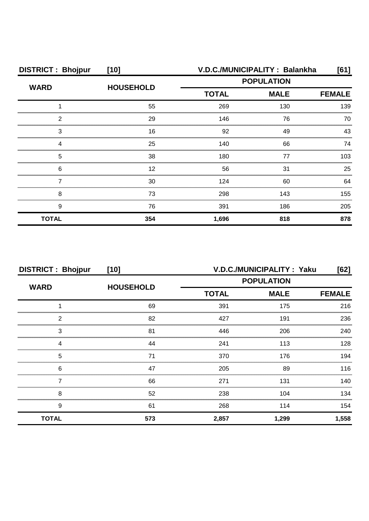| <b>DISTRICT: Bhojpur</b> | $[10]$           | V.D.C./MUNICIPALITY: Balankha<br>[61] |             |               |
|--------------------------|------------------|---------------------------------------|-------------|---------------|
|                          |                  | <b>POPULATION</b>                     |             |               |
| <b>WARD</b>              | <b>HOUSEHOLD</b> | <b>TOTAL</b>                          | <b>MALE</b> | <b>FEMALE</b> |
|                          | 55               | 269                                   | 130         | 139           |
| 2                        | 29               | 146                                   | 76          | 70            |
| 3                        | 16               | 92                                    | 49          | 43            |
|                          | 25               | 140                                   | 66          | 74            |
| 5                        | 38               | 180                                   | 77          | 103           |
| 6                        | 12               | 56                                    | 31          | 25            |
|                          | 30               | 124                                   | 60          | 64            |
| 8                        | 73               | 298                                   | 143         | 155           |
| 9                        | 76               | 391                                   | 186         | 205           |
| <b>TOTAL</b>             | 354              | 1,696                                 | 818         | 878           |

| <b>DISTRICT: Bhojpur</b> | $[10]$           | V.D.C./MUNICIPALITY: Yaku<br>[62] |             |               |
|--------------------------|------------------|-----------------------------------|-------------|---------------|
| <b>WARD</b>              | <b>HOUSEHOLD</b> | <b>POPULATION</b>                 |             |               |
|                          |                  | <b>TOTAL</b>                      | <b>MALE</b> | <b>FEMALE</b> |
|                          | 69               | 391                               | 175         | 216           |
| 2                        | 82               | 427                               | 191         | 236           |
| 3                        | 81               | 446                               | 206         | 240           |
|                          | 44               | 241                               | 113         | 128           |
| 5                        | 71               | 370                               | 176         | 194           |
| 6                        | 47               | 205                               | 89          | 116           |
|                          | 66               | 271                               | 131         | 140           |
| 8                        | 52               | 238                               | 104         | 134           |
| 9                        | 61               | 268                               | 114         | 154           |
| <b>TOTAL</b>             | 573              | 2,857                             | 1,299       | 1,558         |